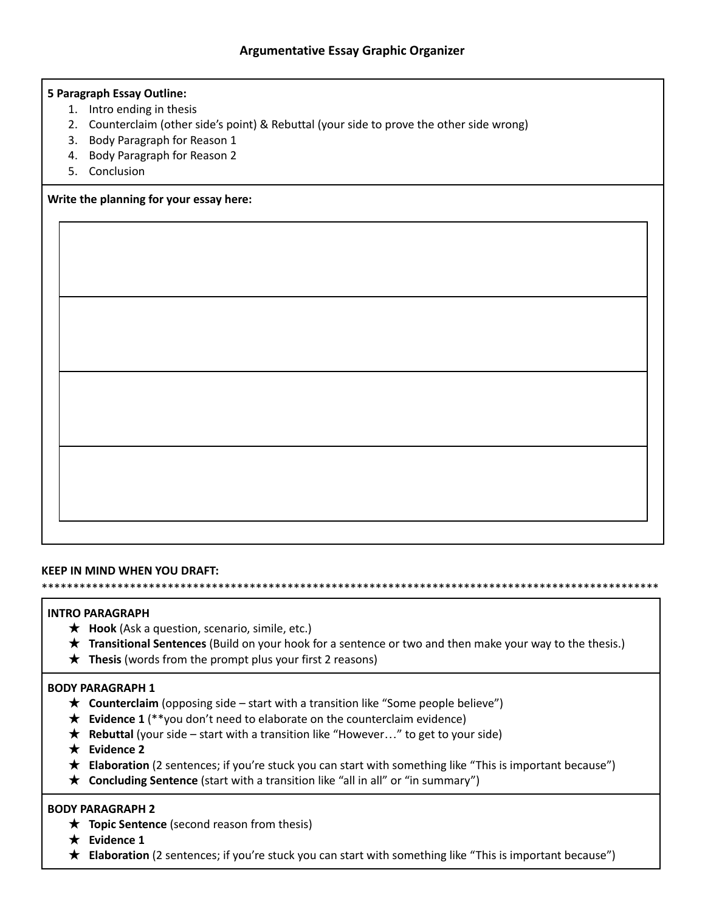## **5 Paragraph Essay Outline:**

- 1. Intro ending in thesis
- 2. Counterclaim (other side's point) & Rebuttal (your side to prove the other side wrong)
- 3. Body Paragraph for Reason 1
- 4. Body Paragraph for Reason 2
- 5. Conclusion

## **Write the planning for your essay here:**

### **KEEP IN MIND WHEN YOU DRAFT:**

\*\*\*\*\*\*\*\*\*\*\*\*\*\*\*\*\*\*\*\*\*\*\*\*\*\*\*\*\*\*\*\*\*\*\*\*\*\*\*\*\*\*\*\*\*\*\*\*\*\*\*\*\*\*\*\*\*\*\*\*\*\*\*\*\*\*\*\*\*\*\*\*\*\*\*\*\*\*\*\*\*\*\*\*\*\*\*\*\*\*\*\*\*\*\*\*\*\*

### **INTRO PARAGRAPH**

- ★ **Hook** (Ask a question, scenario, simile, etc.)
- ★ **Transitional Sentences** (Build on your hook for a sentence or two and then make your way to the thesis.)
- ★ **Thesis** (words from the prompt plus your first 2 reasons)

#### **BODY PARAGRAPH 1**

- ★ **Counterclaim** (opposing side start with a transition like "Some people believe")
- ★ **Evidence 1** (\*\*you don't need to elaborate on the counterclaim evidence)
- ★ **Rebuttal** (your side start with a transition like "However…" to get to your side)
- ★ **Evidence 2**
- ★ **Elaboration** (2 sentences; if you're stuck you can start with something like "This is important because")
- ★ **Concluding Sentence** (start with a transition like "all in all" or "in summary")

#### **BODY PARAGRAPH 2**

- ★ **Topic Sentence** (second reason from thesis)
- ★ **Evidence 1**
- ★ **Elaboration** (2 sentences; if you're stuck you can start with something like "This is important because")